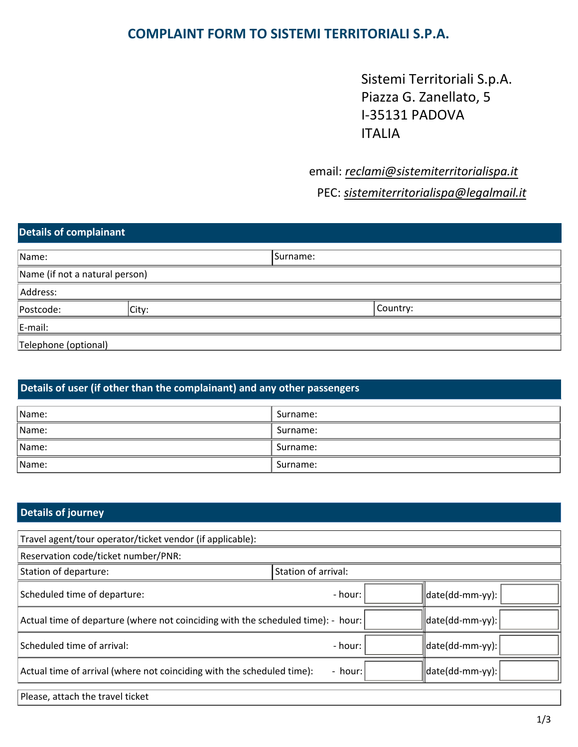## **COMPLAINT FORM TO SISTEMI TERRITORIALI S.P.A.**

Sistemi Territoriali S.p.A. Piazza G. Zanellato, 5 I-35131 PADOVA ITALIA

## email: *reclami@sistemiterritorialispa.it*

PEC: *sistemiterritorialispa@legalmail.it*

# **Details of complainant** Name: Surname: Surname: Surname: Surname: Surname: Surname: Surname: Surname: Surname: Surname: Surname: Surname: Surname: Surname: Surname: Surname: Surname: Surname: Surname: Surname: Surname: Surname: Surname: Surname: Name (if not a natural person) Address:

| AUULESS.             |       |          |  |
|----------------------|-------|----------|--|
| Postcode:            | City: | Country: |  |
| E-mail:              |       |          |  |
| Telephone (optional) |       |          |  |

### **Details of user (if other than the complainant) and any other passengers**

| Name: | Surname: |
|-------|----------|
| Name: | Surname: |
| Name: | Surname: |
| Name: | Surname: |

#### **Details of journey Details of journey**

Please, attach the travel ticket

| Travel agent/tour operator/ticket vendor (if applicable):                        |                     |                 |  |  |
|----------------------------------------------------------------------------------|---------------------|-----------------|--|--|
| Reservation code/ticket number/PNR:                                              |                     |                 |  |  |
| Station of departure:                                                            | Station of arrival: |                 |  |  |
| Scheduled time of departure:                                                     | - hour:             | date(dd-mm-yy): |  |  |
| Actual time of departure (where not coinciding with the scheduled time): - hour: |                     | date(dd-mm-yy): |  |  |
| Scheduled time of arrival:                                                       | - hour:             | date(dd-mm-yy): |  |  |
| Actual time of arrival (where not coinciding with the scheduled time):           | date(dd-mm-yy):     |                 |  |  |
|                                                                                  |                     |                 |  |  |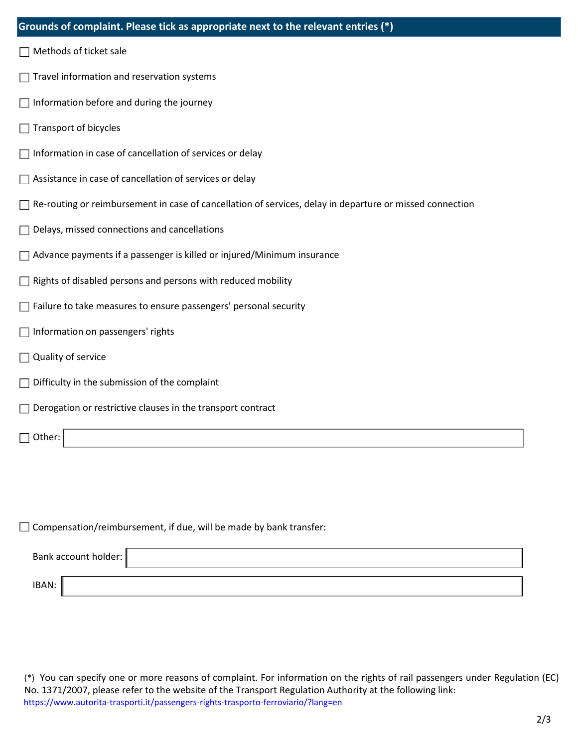| Grounds of complaint. Please tick as appropriate next to the relevant entries (*)                        |  |  |  |
|----------------------------------------------------------------------------------------------------------|--|--|--|
| Methods of ticket sale                                                                                   |  |  |  |
| Travel information and reservation systems                                                               |  |  |  |
| Information before and during the journey                                                                |  |  |  |
| Transport of bicycles                                                                                    |  |  |  |
| Information in case of cancellation of services or delay                                                 |  |  |  |
| Assistance in case of cancellation of services or delay                                                  |  |  |  |
| Re-routing or reimbursement in case of cancellation of services, delay in departure or missed connection |  |  |  |
| Delays, missed connections and cancellations                                                             |  |  |  |
| Advance payments if a passenger is killed or injured/Minimum insurance                                   |  |  |  |
| Rights of disabled persons and persons with reduced mobility                                             |  |  |  |
| Failure to take measures to ensure passengers' personal security                                         |  |  |  |
| Information on passengers' rights                                                                        |  |  |  |
| Quality of service                                                                                       |  |  |  |
| Difficulty in the submission of the complaint                                                            |  |  |  |
| Derogation or restrictive clauses in the transport contract                                              |  |  |  |
| Other:                                                                                                   |  |  |  |

 $\Box$  Compensation/reimbursement, if due, will be made by bank transfer:

| Bank account holder: |  |
|----------------------|--|
| IBAN:                |  |

(\*) You can specify one or more reasons of complaint. For information on the rights of rail passengers under Regulation (EC) No. 1371/2007, please refer to the website of the Transport Regulation Authority at the following link: https://www.autorita-trasporti.it/passengers-rights-trasporto-ferroviario/?lang=en